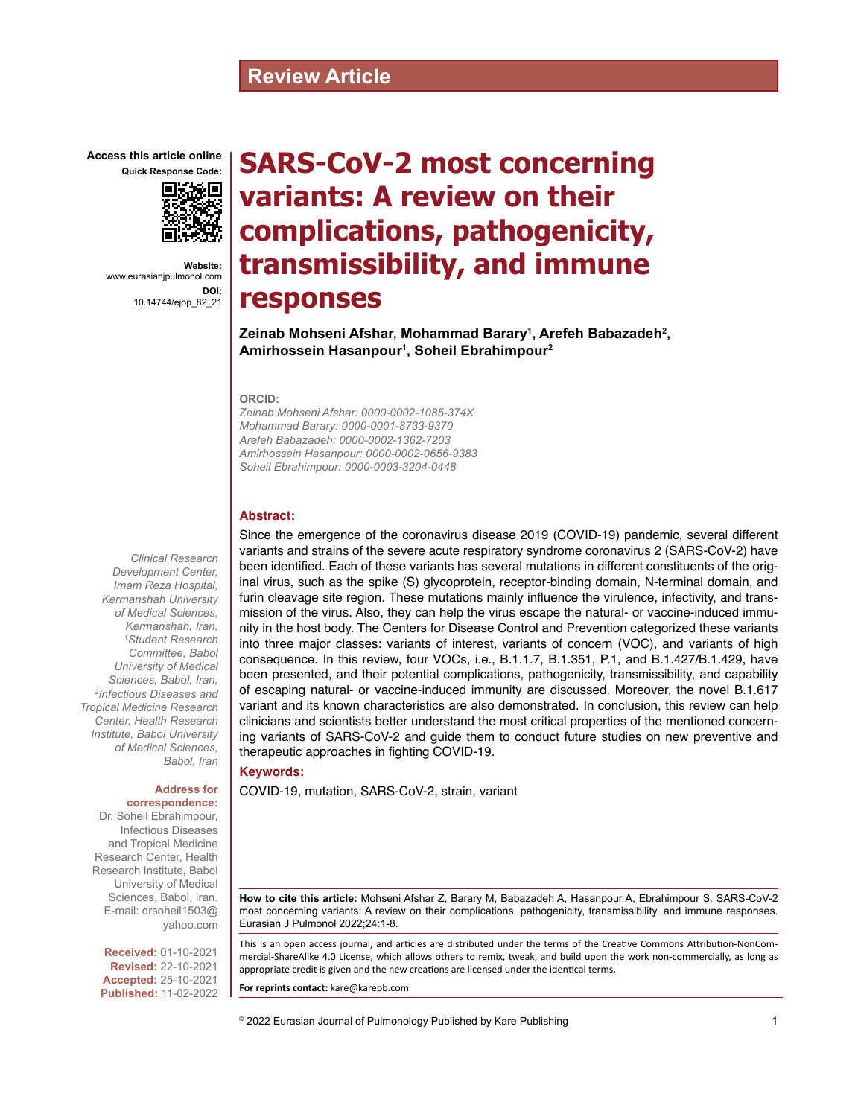# **Review Article**

**Access this article online Quick Response Code:**



**Website:** www.eurasianjpulmonol.com **DOI:** 10.14744/ejop\_82\_21

# **SARS-CoV-2 most concerning variants: A review on their complications, pathogenicity, transmissibility, and immune responses**

**Zeinab Mohseni Afshar, Mohammad Barary1 , Arefeh Babazadeh2 , Amirhossein Hasanpour1 , Soheil Ebrahimpour2**

#### **ORCID:**

*Zeinab Mohseni Afshar: 0000-0002-1085-374X Mohammad Barary: 0000-0001-8733-9370 Arefeh Babazadeh: 0000-0002-1362-7203 Amirhossein Hasanpour: 0000-0002-0656-9383 Soheil Ebrahimpour: 0000-0003-3204-0448*

#### **Abstract:**

Since the emergence of the coronavirus disease 2019 (COVID-19) pandemic, several different variants and strains of the severe acute respiratory syndrome coronavirus 2 (SARS-CoV-2) have been identified. Each of these variants has several mutations in different constituents of the original virus, such as the spike (S) glycoprotein, receptor-binding domain, N-terminal domain, and furin cleavage site region. These mutations mainly influence the virulence, infectivity, and transmission of the virus. Also, they can help the virus escape the natural- or vaccine-induced immunity in the host body. The Centers for Disease Control and Prevention categorized these variants into three major classes: variants of interest, variants of concern (VOC), and variants of high consequence. In this review, four VOCs, i.e., B.1.1.7, B.1.351, P.1, and B.1.427/B.1.429, have been presented, and their potential complications, pathogenicity, transmissibility, and capability of escaping natural- or vaccine-induced immunity are discussed. Moreover, the novel B.1.617 variant and its known characteristics are also demonstrated. In conclusion, this review can help clinicians and scientists better understand the most critical properties of the mentioned concerning variants of SARS-CoV-2 and guide them to conduct future studies on new preventive and therapeutic approaches in fighting COVID-19.

**Keywords:**

COVID-19, mutation, SARS-CoV-2, strain, variant

**How to cite this article:** Mohseni Afshar Z, Barary M, Babazadeh A, Hasanpour A, Ebrahimpour S. SARS-CoV-2 most concerning variants: A review on their complications, pathogenicity, transmissibility, and immune responses. Eurasian J Pulmonol 2022;24:1-8.

This is an open access journal, and articles are distributed under the terms of the Creative Commons Attribution-NonCommercial‑ShareAlike 4.0 License, which allows others to remix, tweak, and build upon the work non‑commercially, as long as appropriate credit is given and the new creations are licensed under the identical terms.

**For reprints contact:** kare@karepb.com

© 2022 Eurasian Journal of Pulmonology Published by Kare Publishing

*Clinical Research Development Center, Imam Reza Hospital, Kermanshah University of Medical Sciences, Kermanshah, Iran, 1 Student Research Committee, Babol University of Medical Sciences, Babol, Iran, 2 Infectious Diseases and Tropical Medicine Research Center, Health Research Institute, Babol University of Medical Sciences, Babol, Iran*

#### **Address for correspondence:**

Dr. Soheil Ebrahimpour, Infectious Diseases and Tropical Medicine Research Center, Health Research Institute, Babol University of Medical Sciences, Babol, Iran. E-mail: drsoheil1503@ yahoo.com

**Received:** 01-10-2021 **Revised:** 22-10-2021 **Accepted:** 25-10-2021 **Published:** 11-02-2022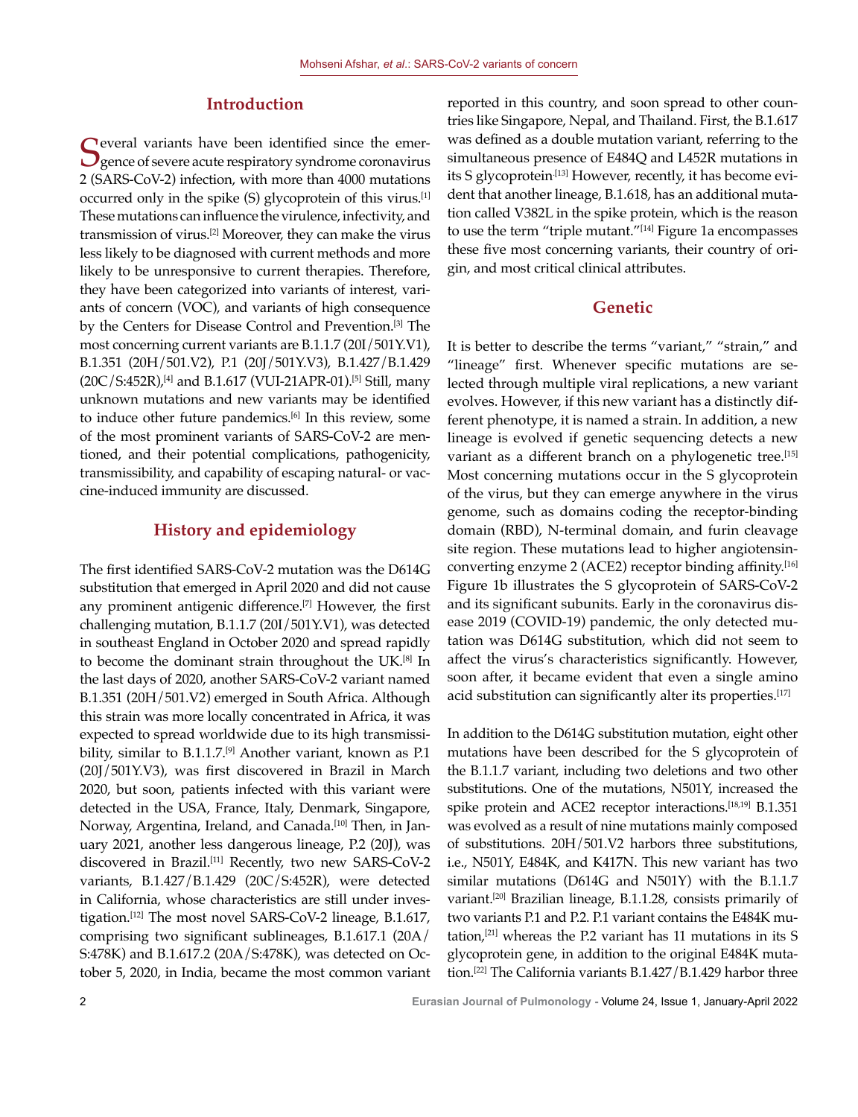### **Introduction**

Several variants have been identified since the emer-<br>Sence of severe acute respiratory syndrome coronavirus 2 (SARS-CoV-2) infection, with more than 4000 mutations occurred only in the spike (S) glycoprotein of this virus.[1] These mutations can influence the virulence, infectivity, and transmission of virus.[2] Moreover, they can make the virus less likely to be diagnosed with current methods and more likely to be unresponsive to current therapies. Therefore, they have been categorized into variants of interest, variants of concern (VOC), and variants of high consequence by the Centers for Disease Control and Prevention.[3] The most concerning current variants are B.1.1.7 (20I/501Y.V1), B.1.351 (20H/501.V2), P.1 (20J/501Y.V3), B.1.427/B.1.429  $(20C/S:452R)$ ,<sup>[4]</sup> and B.1.617 (VUI-21APR-01).<sup>[5]</sup> Still, many unknown mutations and new variants may be identified to induce other future pandemics.<sup>[6]</sup> In this review, some of the most prominent variants of SARS-CoV-2 are mentioned, and their potential complications, pathogenicity, transmissibility, and capability of escaping natural- or vaccine-induced immunity are discussed.

#### **History and epidemiology**

The first identified SARS-CoV-2 mutation was the D614G substitution that emerged in April 2020 and did not cause any prominent antigenic difference.<sup>[7]</sup> However, the first challenging mutation, B.1.1.7 (20I/501Y.V1), was detected in southeast England in October 2020 and spread rapidly to become the dominant strain throughout the UK.<sup>[8]</sup> In the last days of 2020, another SARS-CoV-2 variant named B.1.351 (20H/501.V2) emerged in South Africa. Although this strain was more locally concentrated in Africa, it was expected to spread worldwide due to its high transmissibility, similar to B.1.1.7.<sup>[9]</sup> Another variant, known as P.1 (20J/501Y.V3), was first discovered in Brazil in March 2020, but soon, patients infected with this variant were detected in the USA, France, Italy, Denmark, Singapore, Norway, Argentina, Ireland, and Canada.<sup>[10]</sup> Then, in January 2021, another less dangerous lineage, P.2 (20J), was discovered in Brazil.<sup>[11]</sup> Recently, two new SARS-CoV-2 variants, B.1.427/B.1.429 (20C/S:452R), were detected in California, whose characteristics are still under investigation.[12] The most novel SARS-CoV-2 lineage, B.1.617, comprising two significant sublineages, B.1.617.1 (20A/ S:478K) and B.1.617.2 (20A/S:478K), was detected on October 5, 2020, in India, became the most common variant reported in this country, and soon spread to other countries like Singapore, Nepal, and Thailand. First, the B.1.617 was defined as a double mutation variant, referring to the simultaneous presence of E484Q and L452R mutations in its S glycoprotein.[13] However, recently, it has become evident that another lineage, B.1.618, has an additional mutation called V382L in the spike protein, which is the reason to use the term "triple mutant."[14] Figure 1a encompasses these five most concerning variants, their country of origin, and most critical clinical attributes.

## **Genetic**

It is better to describe the terms "variant," "strain," and "lineage" first. Whenever specific mutations are selected through multiple viral replications, a new variant evolves. However, if this new variant has a distinctly different phenotype, it is named a strain. In addition, a new lineage is evolved if genetic sequencing detects a new variant as a different branch on a phylogenetic tree.<sup>[15]</sup> Most concerning mutations occur in the S glycoprotein of the virus, but they can emerge anywhere in the virus genome, such as domains coding the receptor-binding domain (RBD), N-terminal domain, and furin cleavage site region. These mutations lead to higher angiotensinconverting enzyme 2 (ACE2) receptor binding affinity.[16] Figure 1b illustrates the S glycoprotein of SARS-CoV-2 and its significant subunits. Early in the coronavirus disease 2019 (COVID-19) pandemic, the only detected mutation was D614G substitution, which did not seem to affect the virus's characteristics significantly. However, soon after, it became evident that even a single amino acid substitution can significantly alter its properties.<sup>[17]</sup>

In addition to the D614G substitution mutation, eight other mutations have been described for the S glycoprotein of the B.1.1.7 variant, including two deletions and two other substitutions. One of the mutations, N501Y, increased the spike protein and ACE2 receptor interactions.[18,19] B.1.351 was evolved as a result of nine mutations mainly composed of substitutions. 20H/501.V2 harbors three substitutions, i.e., N501Y, E484K, and K417N. This new variant has two similar mutations (D614G and N501Y) with the B.1.1.7 variant.[20] Brazilian lineage, B.1.1.28, consists primarily of two variants P.1 and P.2. P.1 variant contains the E484K mutation,[21] whereas the P.2 variant has 11 mutations in its S glycoprotein gene, in addition to the original E484K mutation.[22] The California variants B.1.427/B.1.429 harbor three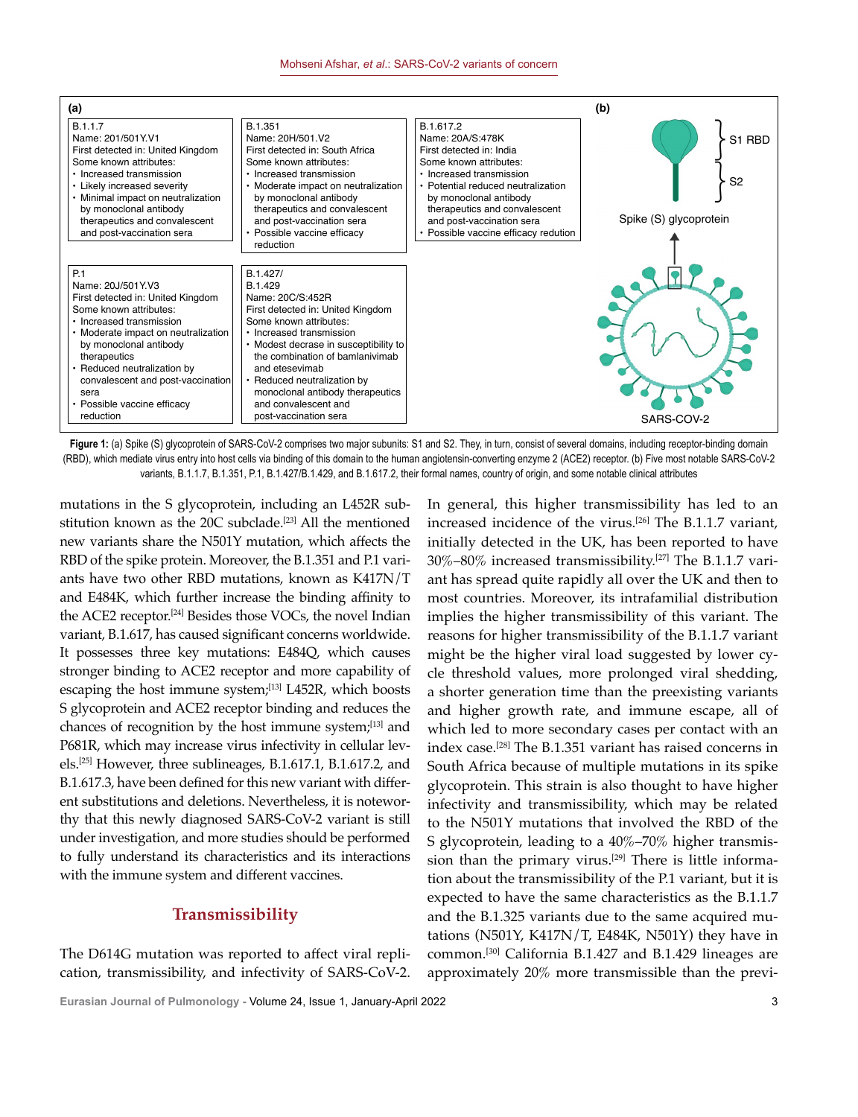

Figure 1: (a) Spike (S) glycoprotein of SARS-CoV-2 comprises two major subunits: S1 and S2. They, in turn, consist of several domains, including receptor-binding domain (RBD), which mediate virus entry into host cells via binding of this domain to the human angiotensin-converting enzyme 2 (ACE2) receptor. (b) Five most notable SARS-CoV-2 variants, B.1.1.7, B.1.351, P.1, B.1.427/B.1.429, and B.1.617.2, their formal names, country of origin, and some notable clinical attributes

mutations in the S glycoprotein, including an L452R substitution known as the 20C subclade.<sup>[23]</sup> All the mentioned new variants share the N501Y mutation, which affects the RBD of the spike protein. Moreover, the B.1.351 and P.1 variants have two other RBD mutations, known as K417N/T and E484K, which further increase the binding affinity to the ACE2 receptor.[24] Besides those VOCs, the novel Indian variant, B.1.617, has caused significant concerns worldwide. It possesses three key mutations: E484Q, which causes stronger binding to ACE2 receptor and more capability of escaping the host immune system;<sup>[13]</sup> L452R, which boosts S glycoprotein and ACE2 receptor binding and reduces the chances of recognition by the host immune system;[13] and P681R, which may increase virus infectivity in cellular levels.<sup>[25]</sup> However, three sublineages, B.1.617.1, B.1.617.2, and B.1.617.3, have been defined for this new variant with different substitutions and deletions. Nevertheless, it is noteworthy that this newly diagnosed SARS-CoV-2 variant is still under investigation, and more studies should be performed to fully understand its characteristics and its interactions with the immune system and different vaccines.

#### **Transmissibility**

The D614G mutation was reported to affect viral replication, transmissibility, and infectivity of SARS-CoV-2. In general, this higher transmissibility has led to an increased incidence of the virus.[26] The B.1.1.7 variant, initially detected in the UK, has been reported to have 30%–80% increased transmissibility.[27] The B.1.1.7 variant has spread quite rapidly all over the UK and then to most countries. Moreover, its intrafamilial distribution implies the higher transmissibility of this variant. The reasons for higher transmissibility of the B.1.1.7 variant might be the higher viral load suggested by lower cycle threshold values, more prolonged viral shedding, a shorter generation time than the preexisting variants and higher growth rate, and immune escape, all of which led to more secondary cases per contact with an index case.[28] The B.1.351 variant has raised concerns in South Africa because of multiple mutations in its spike glycoprotein. This strain is also thought to have higher infectivity and transmissibility, which may be related to the N501Y mutations that involved the RBD of the S glycoprotein, leading to a 40%–70% higher transmission than the primary virus.<sup>[29]</sup> There is little information about the transmissibility of the P.1 variant, but it is expected to have the same characteristics as the B.1.1.7 and the B.1.325 variants due to the same acquired mutations (N501Y, K417N/T, E484K, N501Y) they have in common.[30] California B.1.427 and B.1.429 lineages are approximately 20% more transmissible than the previ-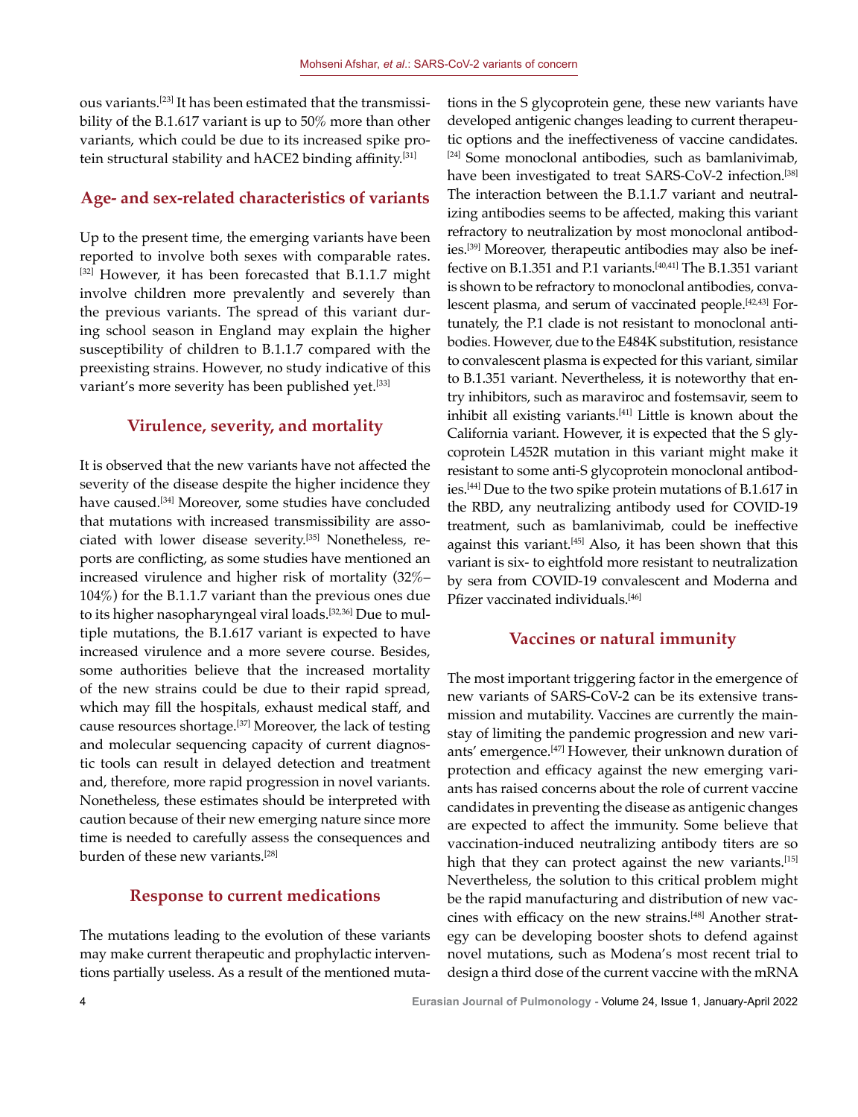ous variants.[23] It has been estimated that the transmissibility of the B.1.617 variant is up to 50% more than other variants, which could be due to its increased spike protein structural stability and hACE2 binding affinity.<sup>[31]</sup>

#### **Age- and sex-related characteristics of variants**

Up to the present time, the emerging variants have been reported to involve both sexes with comparable rates. [32] However, it has been forecasted that B.1.1.7 might involve children more prevalently and severely than the previous variants. The spread of this variant during school season in England may explain the higher susceptibility of children to B.1.1.7 compared with the preexisting strains. However, no study indicative of this variant's more severity has been published yet.<sup>[33]</sup>

#### **Virulence, severity, and mortality**

It is observed that the new variants have not affected the severity of the disease despite the higher incidence they have caused.[34] Moreover, some studies have concluded that mutations with increased transmissibility are associated with lower disease severity.[35] Nonetheless, reports are conflicting, as some studies have mentioned an increased virulence and higher risk of mortality (32%– 104%) for the B.1.1.7 variant than the previous ones due to its higher nasopharyngeal viral loads.<sup>[32,36]</sup> Due to multiple mutations, the B.1.617 variant is expected to have increased virulence and a more severe course. Besides, some authorities believe that the increased mortality of the new strains could be due to their rapid spread, which may fill the hospitals, exhaust medical staff, and cause resources shortage.[37] Moreover, the lack of testing and molecular sequencing capacity of current diagnostic tools can result in delayed detection and treatment and, therefore, more rapid progression in novel variants. Nonetheless, these estimates should be interpreted with caution because of their new emerging nature since more time is needed to carefully assess the consequences and burden of these new variants.<sup>[28]</sup>

#### **Response to current medications**

The mutations leading to the evolution of these variants may make current therapeutic and prophylactic interventions partially useless. As a result of the mentioned mutations in the S glycoprotein gene, these new variants have developed antigenic changes leading to current therapeutic options and the ineffectiveness of vaccine candidates. [24] Some monoclonal antibodies, such as bamlanivimab, have been investigated to treat SARS-CoV-2 infection.<sup>[38]</sup> The interaction between the B.1.1.7 variant and neutralizing antibodies seems to be affected, making this variant refractory to neutralization by most monoclonal antibodies.[39] Moreover, therapeutic antibodies may also be ineffective on B.1.351 and P.1 variants.[40,41] The B.1.351 variant is shown to be refractory to monoclonal antibodies, convalescent plasma, and serum of vaccinated people.[42,43] Fortunately, the P.1 clade is not resistant to monoclonal antibodies. However, due to the E484K substitution, resistance to convalescent plasma is expected for this variant, similar to B.1.351 variant. Nevertheless, it is noteworthy that entry inhibitors, such as maraviroc and fostemsavir, seem to inhibit all existing variants.<sup>[41]</sup> Little is known about the California variant. However, it is expected that the S glycoprotein L452R mutation in this variant might make it resistant to some anti-S glycoprotein monoclonal antibodies.[44] Due to the two spike protein mutations of B.1.617 in the RBD, any neutralizing antibody used for COVID-19 treatment, such as bamlanivimab, could be ineffective against this variant.[45] Also, it has been shown that this variant is six- to eightfold more resistant to neutralization by sera from COVID-19 convalescent and Moderna and Pfizer vaccinated individuals.<sup>[46]</sup>

#### **Vaccines or natural immunity**

The most important triggering factor in the emergence of new variants of SARS-CoV-2 can be its extensive transmission and mutability. Vaccines are currently the mainstay of limiting the pandemic progression and new variants' emergence.[47] However, their unknown duration of protection and efficacy against the new emerging variants has raised concerns about the role of current vaccine candidates in preventing the disease as antigenic changes are expected to affect the immunity. Some believe that vaccination-induced neutralizing antibody titers are so high that they can protect against the new variants.<sup>[15]</sup> Nevertheless, the solution to this critical problem might be the rapid manufacturing and distribution of new vaccines with efficacy on the new strains.<sup>[48]</sup> Another strategy can be developing booster shots to defend against novel mutations, such as Modena's most recent trial to design a third dose of the current vaccine with the mRNA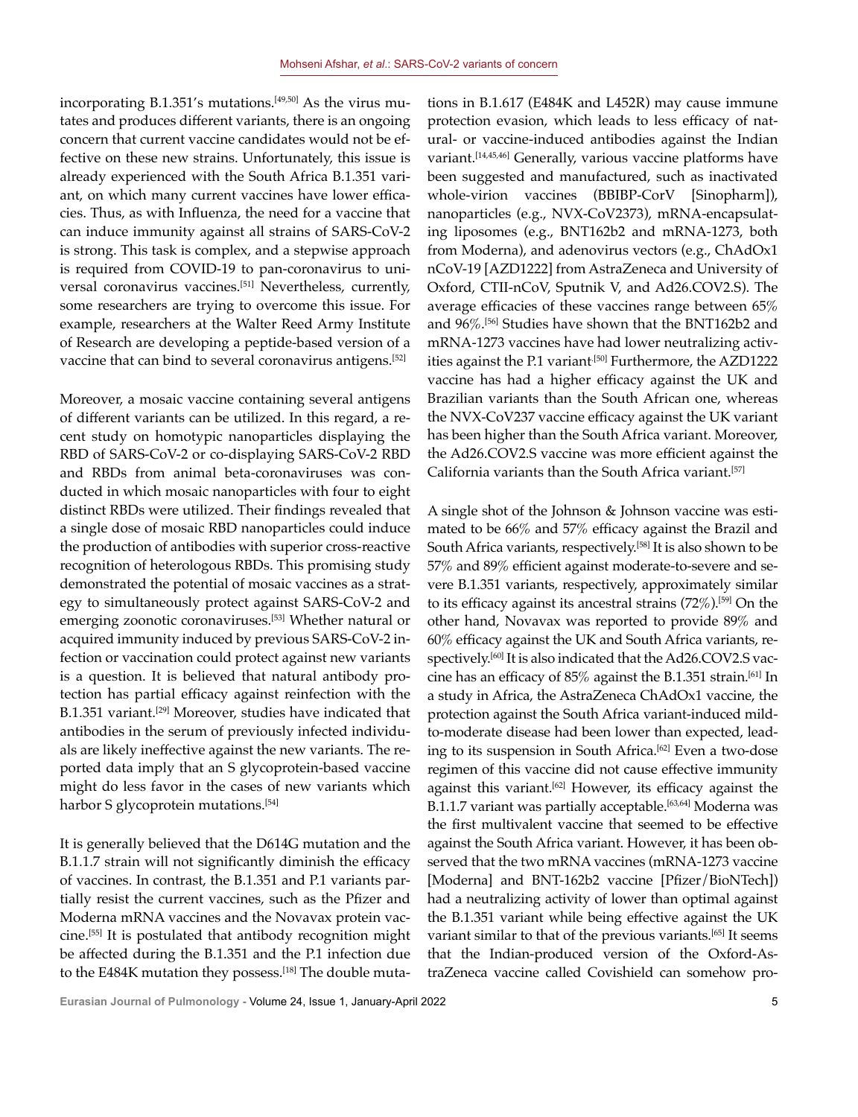incorporating B.1.351's mutations.<sup>[49,50]</sup> As the virus mutates and produces different variants, there is an ongoing concern that current vaccine candidates would not be effective on these new strains. Unfortunately, this issue is already experienced with the South Africa B.1.351 variant, on which many current vaccines have lower efficacies. Thus, as with Influenza, the need for a vaccine that can induce immunity against all strains of SARS-CoV-2 is strong. This task is complex, and a stepwise approach is required from COVID-19 to pan-coronavirus to universal coronavirus vaccines.[51] Nevertheless, currently, some researchers are trying to overcome this issue. For example, researchers at the Walter Reed Army Institute of Research are developing a peptide-based version of a vaccine that can bind to several coronavirus antigens.<sup>[52]</sup>

Moreover, a mosaic vaccine containing several antigens of different variants can be utilized. In this regard, a recent study on homotypic nanoparticles displaying the RBD of SARS-CoV-2 or co-displaying SARS-CoV-2 RBD and RBDs from animal beta-coronaviruses was conducted in which mosaic nanoparticles with four to eight distinct RBDs were utilized. Their findings revealed that a single dose of mosaic RBD nanoparticles could induce the production of antibodies with superior cross-reactive recognition of heterologous RBDs. This promising study demonstrated the potential of mosaic vaccines as a strategy to simultaneously protect against SARS-CoV-2 and emerging zoonotic coronaviruses.<sup>[53]</sup> Whether natural or acquired immunity induced by previous SARS-CoV-2 infection or vaccination could protect against new variants is a question. It is believed that natural antibody protection has partial efficacy against reinfection with the B.1.351 variant.<sup>[29]</sup> Moreover, studies have indicated that antibodies in the serum of previously infected individuals are likely ineffective against the new variants. The reported data imply that an S glycoprotein-based vaccine might do less favor in the cases of new variants which harbor S glycoprotein mutations.<sup>[54]</sup>

It is generally believed that the D614G mutation and the B.1.1.7 strain will not significantly diminish the efficacy of vaccines. In contrast, the B.1.351 and P.1 variants partially resist the current vaccines, such as the Pfizer and Moderna mRNA vaccines and the Novavax protein vaccine.[55] It is postulated that antibody recognition might be affected during the B.1.351 and the P.1 infection due to the E484K mutation they possess.<sup>[18]</sup> The double muta-

tions in B.1.617 (E484K and L452R) may cause immune protection evasion, which leads to less efficacy of natural- or vaccine-induced antibodies against the Indian variant.[14,45,46] Generally, various vaccine platforms have been suggested and manufactured, such as inactivated whole-virion vaccines (BBIBP-CorV [Sinopharm]), nanoparticles (e.g., NVX-CoV2373), mRNA-encapsulating liposomes (e.g., BNT162b2 and mRNA-1273, both from Moderna), and adenovirus vectors (e.g., ChAdOx1 nCoV-19 [AZD1222] from AstraZeneca and University of Oxford, CTII-nCoV, Sputnik V, and Ad26.COV2.S). The average efficacies of these vaccines range between 65% and 96%.[56] Studies have shown that the BNT162b2 and mRNA-1273 vaccines have had lower neutralizing activities against the P.1 variant<sup>[50]</sup> Furthermore, the AZD1222 vaccine has had a higher efficacy against the UK and Brazilian variants than the South African one, whereas the NVX-CoV237 vaccine efficacy against the UK variant has been higher than the South Africa variant. Moreover, the Ad26.COV2.S vaccine was more efficient against the California variants than the South Africa variant.[57]

A single shot of the Johnson & Johnson vaccine was estimated to be 66% and 57% efficacy against the Brazil and South Africa variants, respectively.[58] It is also shown to be 57% and 89% efficient against moderate-to-severe and severe B.1.351 variants, respectively, approximately similar to its efficacy against its ancestral strains  $(72\%)$ .<sup>[59]</sup> On the other hand, Novavax was reported to provide 89% and 60% efficacy against the UK and South Africa variants, respectively.<sup>[60]</sup> It is also indicated that the Ad26.COV2.S vaccine has an efficacy of 85% against the B.1.351 strain.[61] In a study in Africa, the AstraZeneca ChAdOx1 vaccine, the protection against the South Africa variant-induced mildto-moderate disease had been lower than expected, leading to its suspension in South Africa.<sup>[62]</sup> Even a two-dose regimen of this vaccine did not cause effective immunity against this variant.[62] However, its efficacy against the B.1.1.7 variant was partially acceptable.<sup>[63,64]</sup> Moderna was the first multivalent vaccine that seemed to be effective against the South Africa variant. However, it has been observed that the two mRNA vaccines (mRNA-1273 vaccine [Moderna] and BNT-162b2 vaccine [Pfizer/BioNTech]) had a neutralizing activity of lower than optimal against the B.1.351 variant while being effective against the UK variant similar to that of the previous variants.<sup>[65]</sup> It seems that the Indian-produced version of the Oxford-AstraZeneca vaccine called Covishield can somehow pro-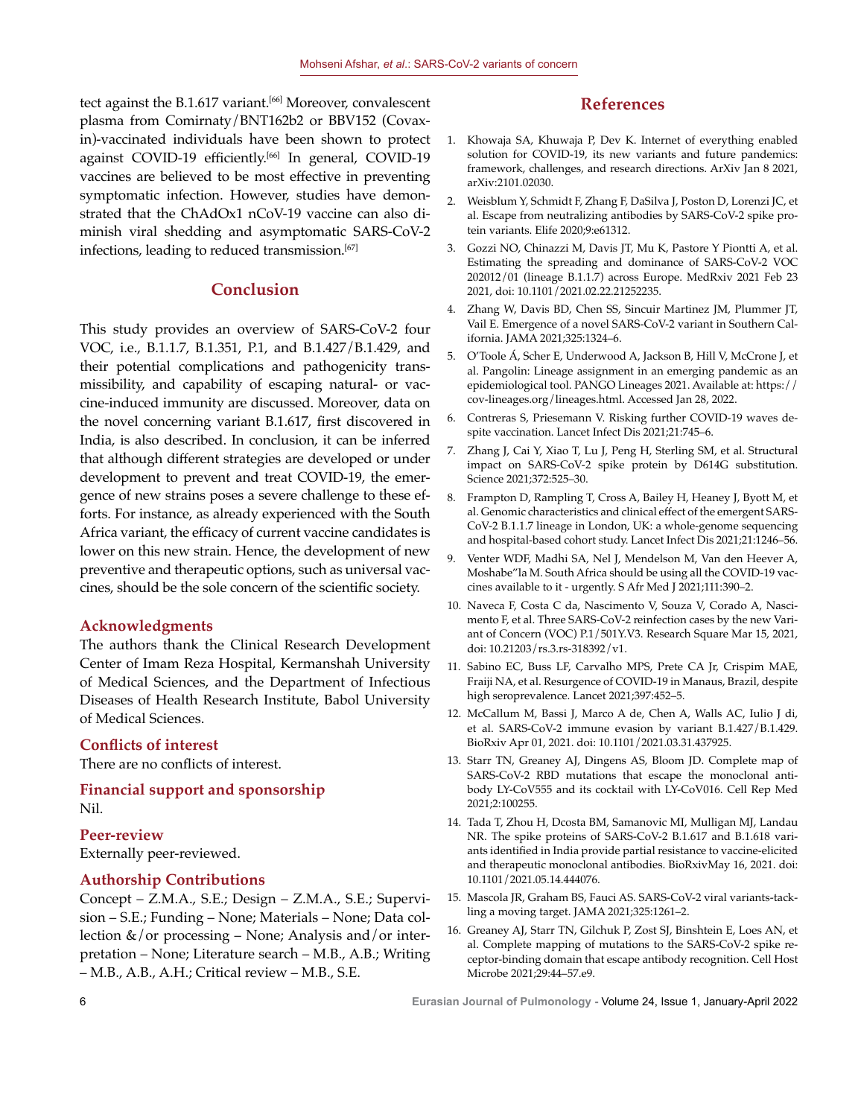tect against the B.1.617 variant.<sup>[66]</sup> Moreover, convalescent plasma from Comirnaty/BNT162b2 or BBV152 (Covaxin)-vaccinated individuals have been shown to protect against COVID-19 efficiently.<sup>[66]</sup> In general, COVID-19 vaccines are believed to be most effective in preventing symptomatic infection. However, studies have demonstrated that the ChAdOx1 nCoV-19 vaccine can also diminish viral shedding and asymptomatic SARS-CoV-2 infections, leading to reduced transmission.<sup>[67]</sup>

#### **Conclusion**

This study provides an overview of SARS-CoV-2 four VOC, i.e., B.1.1.7, B.1.351, P.1, and B.1.427/B.1.429, and their potential complications and pathogenicity transmissibility, and capability of escaping natural- or vaccine-induced immunity are discussed. Moreover, data on the novel concerning variant B.1.617, first discovered in India, is also described. In conclusion, it can be inferred that although different strategies are developed or under development to prevent and treat COVID-19, the emergence of new strains poses a severe challenge to these efforts. For instance, as already experienced with the South Africa variant, the efficacy of current vaccine candidates is lower on this new strain. Hence, the development of new preventive and therapeutic options, such as universal vaccines, should be the sole concern of the scientific society.

#### **Acknowledgments**

The authors thank the Clinical Research Development Center of Imam Reza Hospital, Kermanshah University of Medical Sciences, and the Department of Infectious Diseases of Health Research Institute, Babol University of Medical Sciences.

#### **Conflicts of interest**

There are no conflicts of interest.

**Financial support and sponsorship** Nil.

#### **Peer-review**

Externally peer-reviewed.

#### **Authorship Contributions**

Concept – Z.M.A., S.E.; Design – Z.M.A., S.E.; Supervision – S.E.; Funding – None; Materials – None; Data collection  $\&$ /or processing – None; Analysis and/or interpretation – None; Literature search – M.B., A.B.; Writing – M.B., A.B., A.H.; Critical review – M.B., S.E.

#### **References**

- 1. Khowaja SA, Khuwaja P, Dev K. Internet of everything enabled solution for COVID-19, its new variants and future pandemics: framework, challenges, and research directions. ArXiv Jan 8 2021, arXiv:2101.02030.
- 2. Weisblum Y, Schmidt F, Zhang F, DaSilva J, Poston D, Lorenzi JC, et al. Escape from neutralizing antibodies by SARS-CoV-2 spike protein variants. Elife 2020;9:e61312.
- 3. Gozzi NO, Chinazzi M, Davis JT, Mu K, Pastore Y Piontti A, et al. Estimating the spreading and dominance of SARS-CoV-2 VOC 202012/01 (lineage B.1.1.7) across Europe. MedRxiv 2021 Feb 23 2021, doi: 10.1101/2021.02.22.21252235.
- 4. Zhang W, Davis BD, Chen SS, Sincuir Martinez JM, Plummer JT, Vail E. Emergence of a novel SARS-CoV-2 variant in Southern California. JAMA 2021;325:1324–6.
- 5. O'Toole Á, Scher E, Underwood A, Jackson B, Hill V, McCrone J, et al. Pangolin: Lineage assignment in an emerging pandemic as an epidemiological tool. PANGO Lineages 2021. Available at: https:// cov-lineages.org/lineages.html. Accessed Jan 28, 2022.
- 6. Contreras S, Priesemann V. Risking further COVID-19 waves despite vaccination. Lancet Infect Dis 2021;21:745–6.
- 7. Zhang J, Cai Y, Xiao T, Lu J, Peng H, Sterling SM, et al. Structural impact on SARS-CoV-2 spike protein by D614G substitution. Science 2021;372:525–30.
- 8. Frampton D, Rampling T, Cross A, Bailey H, Heaney J, Byott M, et al. Genomic characteristics and clinical effect of the emergent SARS-CoV-2 B.1.1.7 lineage in London, UK: a whole-genome sequencing and hospital-based cohort study. Lancet Infect Dis 2021;21:1246–56.
- 9. Venter WDF, Madhi SA, Nel J, Mendelson M, Van den Heever A, Moshabe"la M. South Africa should be using all the COVID-19 vaccines available to it - urgently. S Afr Med J 2021;111:390–2.
- 10. Naveca F, Costa C da, Nascimento V, Souza V, Corado A, Nascimento F, et al. Three SARS-CoV-2 reinfection cases by the new Variant of Concern (VOC) P.1/501Y.V3. Research Square Mar 15, 2021, doi: 10.21203/rs.3.rs-318392/v1.
- 11. Sabino EC, Buss LF, Carvalho MPS, Prete CA Jr, Crispim MAE, Fraiji NA, et al. Resurgence of COVID-19 in Manaus, Brazil, despite high seroprevalence. Lancet 2021;397:452–5.
- 12. McCallum M, Bassi J, Marco A de, Chen A, Walls AC, Iulio J di, et al. SARS-CoV-2 immune evasion by variant B.1.427/B.1.429. BioRxiv Apr 01, 2021. doi: 10.1101/2021.03.31.437925.
- 13. Starr TN, Greaney AJ, Dingens AS, Bloom JD. Complete map of SARS-CoV-2 RBD mutations that escape the monoclonal antibody LY-CoV555 and its cocktail with LY-CoV016. Cell Rep Med 2021;2:100255.
- 14. Tada T, Zhou H, Dcosta BM, Samanovic MI, Mulligan MJ, Landau NR. The spike proteins of SARS-CoV-2 B.1.617 and B.1.618 variants identified in India provide partial resistance to vaccine-elicited and therapeutic monoclonal antibodies. BioRxivMay 16, 2021. doi: 10.1101/2021.05.14.444076.
- 15. Mascola JR, Graham BS, Fauci AS. SARS-CoV-2 viral variants-tackling a moving target. JAMA 2021;325:1261–2.
- 16. Greaney AJ, Starr TN, Gilchuk P, Zost SJ, Binshtein E, Loes AN, et al. Complete mapping of mutations to the SARS-CoV-2 spike receptor-binding domain that escape antibody recognition. Cell Host Microbe 2021;29:44–57.e9.

6 **Eurasian Journal of Pulmonology -** Volume 24, Issue 1, January-April 2022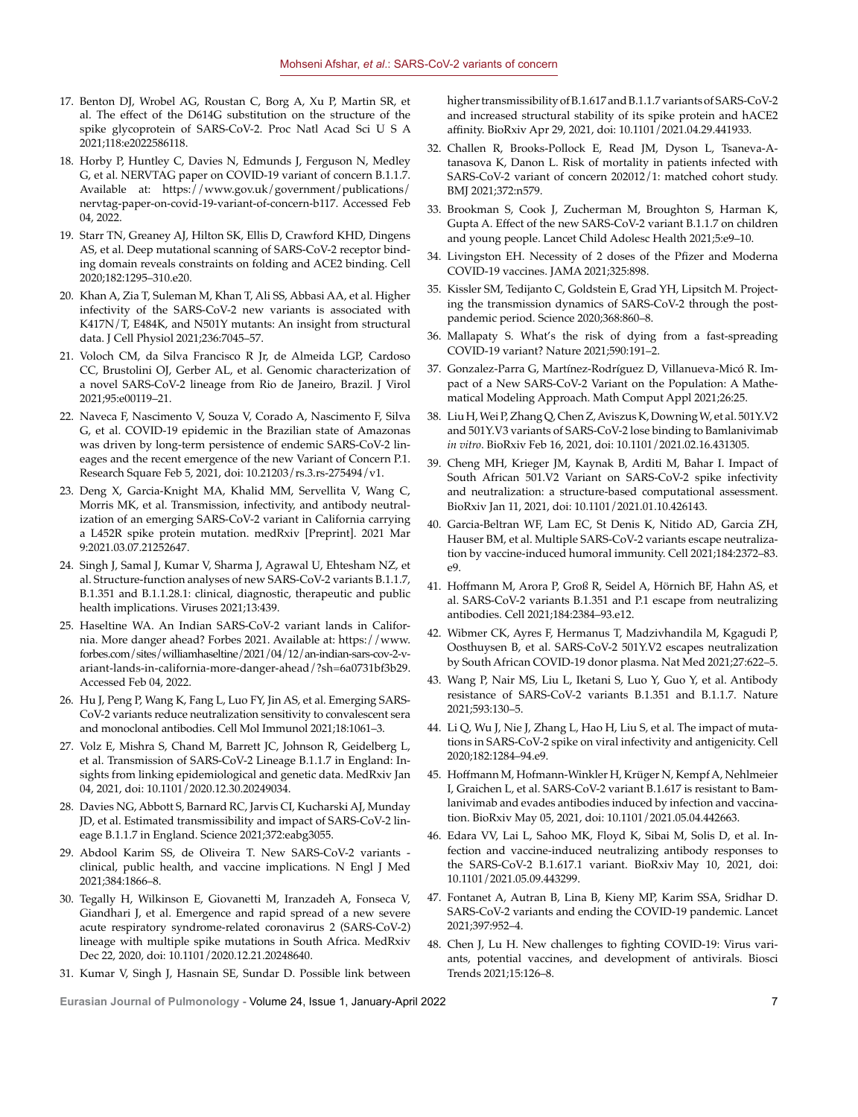- 17. Benton DJ, Wrobel AG, Roustan C, Borg A, Xu P, Martin SR, et al. The effect of the D614G substitution on the structure of the spike glycoprotein of SARS-CoV-2. Proc Natl Acad Sci U S A 2021;118:e2022586118.
- 18. Horby P, Huntley C, Davies N, Edmunds J, Ferguson N, Medley G, et al. NERVTAG paper on COVID-19 variant of concern B.1.1.7. Available at: https://www.gov.uk/government/publications/ nervtag-paper-on-covid-19-variant-of-concern-b117. Accessed Feb 04, 2022.
- 19. Starr TN, Greaney AJ, Hilton SK, Ellis D, Crawford KHD, Dingens AS, et al. Deep mutational scanning of SARS-CoV-2 receptor binding domain reveals constraints on folding and ACE2 binding. Cell 2020;182:1295–310.e20.
- 20. Khan A, Zia T, Suleman M, Khan T, Ali SS, Abbasi AA, et al. Higher infectivity of the SARS-CoV-2 new variants is associated with K417N/T, E484K, and N501Y mutants: An insight from structural data. J Cell Physiol 2021;236:7045–57.
- 21. Voloch CM, da Silva Francisco R Jr, de Almeida LGP, Cardoso CC, Brustolini OJ, Gerber AL, et al. Genomic characterization of a novel SARS-CoV-2 lineage from Rio de Janeiro, Brazil. J Virol 2021;95:e00119–21.
- 22. Naveca F, Nascimento V, Souza V, Corado A, Nascimento F, Silva G, et al. COVID-19 epidemic in the Brazilian state of Amazonas was driven by long-term persistence of endemic SARS-CoV-2 lineages and the recent emergence of the new Variant of Concern P.1. Research Square Feb 5, 2021, doi: 10.21203/rs.3.rs-275494/v1.
- 23. Deng X, Garcia-Knight MA, Khalid MM, Servellita V, Wang C, Morris MK, et al. Transmission, infectivity, and antibody neutralization of an emerging SARS-CoV-2 variant in California carrying a L452R spike protein mutation. medRxiv [Preprint]. 2021 Mar 9:2021.03.07.21252647.
- 24. Singh J, Samal J, Kumar V, Sharma J, Agrawal U, Ehtesham NZ, et al. Structure-function analyses of new SARS-CoV-2 variants B.1.1.7, B.1.351 and B.1.1.28.1: clinical, diagnostic, therapeutic and public health implications. Viruses 2021;13:439.
- 25. Haseltine WA. An Indian SARS-CoV-2 variant lands in California. More danger ahead? Forbes 2021. Available at: https://www. forbes.com/sites/williamhaseltine/2021/04/12/an-indian-sars-cov-2-variant-lands-in-california-more-danger-ahead/?sh=6a0731bf3b29. Accessed Feb 04, 2022.
- 26. Hu J, Peng P, Wang K, Fang L, Luo FY, Jin AS, et al. Emerging SARS-CoV-2 variants reduce neutralization sensitivity to convalescent sera and monoclonal antibodies. Cell Mol Immunol 2021;18:1061–3.
- 27. Volz E, Mishra S, Chand M, Barrett JC, Johnson R, Geidelberg L, et al. Transmission of SARS-CoV-2 Lineage B.1.1.7 in England: Insights from linking epidemiological and genetic data. MedRxiv Jan 04, 2021, doi: 10.1101/2020.12.30.20249034.
- 28. Davies NG, Abbott S, Barnard RC, Jarvis CI, Kucharski AJ, Munday JD, et al. Estimated transmissibility and impact of SARS-CoV-2 lineage B.1.1.7 in England. Science 2021;372:eabg3055.
- 29. Abdool Karim SS, de Oliveira T. New SARS-CoV-2 variants clinical, public health, and vaccine implications. N Engl J Med 2021;384:1866–8.
- 30. Tegally H, Wilkinson E, Giovanetti M, Iranzadeh A, Fonseca V, Giandhari J, et al. Emergence and rapid spread of a new severe acute respiratory syndrome-related coronavirus 2 (SARS-CoV-2) lineage with multiple spike mutations in South Africa. MedRxiv Dec 22, 2020, doi: 10.1101/2020.12.21.20248640.
- 31. Kumar V, Singh J, Hasnain SE, Sundar D. Possible link between

higher transmissibility of B.1.617 and B.1.1.7 variants of SARS-CoV-2 and increased structural stability of its spike protein and hACE2 affinity. BioRxiv Apr 29, 2021, doi: 10.1101/2021.04.29.441933.

- 32. Challen R, Brooks-Pollock E, Read JM, Dyson L, Tsaneva-Atanasova K, Danon L. Risk of mortality in patients infected with SARS-CoV-2 variant of concern 202012/1: matched cohort study. BMJ 2021;372:n579.
- 33. Brookman S, Cook J, Zucherman M, Broughton S, Harman K, Gupta A. Effect of the new SARS-CoV-2 variant B.1.1.7 on children and young people. Lancet Child Adolesc Health 2021;5:e9–10.
- 34. Livingston EH. Necessity of 2 doses of the Pfizer and Moderna COVID-19 vaccines. JAMA 2021;325:898.
- 35. Kissler SM, Tedijanto C, Goldstein E, Grad YH, Lipsitch M. Projecting the transmission dynamics of SARS-CoV-2 through the postpandemic period. Science 2020;368:860–8.
- 36. Mallapaty S. What's the risk of dying from a fast-spreading COVID-19 variant? Nature 2021;590:191–2.
- 37. Gonzalez-Parra G, Martínez-Rodríguez D, Villanueva-Micó R. Impact of a New SARS-CoV-2 Variant on the Population: A Mathematical Modeling Approach. Math Comput Appl 2021;26:25.
- 38. Liu H, Wei P, Zhang Q, Chen Z, Aviszus K, Downing W, et al. 501Y.V2 and 501Y.V3 variants of SARS-CoV-2 lose binding to Bamlanivimab *in vitro*. BioRxiv Feb 16, 2021, doi: 10.1101/2021.02.16.431305.
- 39. Cheng MH, Krieger JM, Kaynak B, Arditi M, Bahar I. Impact of South African 501.V2 Variant on SARS-CoV-2 spike infectivity and neutralization: a structure-based computational assessment. BioRxiv Jan 11, 2021, doi: 10.1101/2021.01.10.426143.
- 40. Garcia-Beltran WF, Lam EC, St Denis K, Nitido AD, Garcia ZH, Hauser BM, et al. Multiple SARS-CoV-2 variants escape neutralization by vaccine-induced humoral immunity. Cell 2021;184:2372–83. e9.
- 41. Hoffmann M, Arora P, Groß R, Seidel A, Hörnich BF, Hahn AS, et al. SARS-CoV-2 variants B.1.351 and P.1 escape from neutralizing antibodies. Cell 2021;184:2384–93.e12.
- 42. Wibmer CK, Ayres F, Hermanus T, Madzivhandila M, Kgagudi P, Oosthuysen B, et al. SARS-CoV-2 501Y.V2 escapes neutralization by South African COVID-19 donor plasma. Nat Med 2021;27:622–5.
- 43. Wang P, Nair MS, Liu L, Iketani S, Luo Y, Guo Y, et al. Antibody resistance of SARS-CoV-2 variants B.1.351 and B.1.1.7. Nature 2021;593:130–5.
- 44. Li Q, Wu J, Nie J, Zhang L, Hao H, Liu S, et al. The impact of mutations in SARS-CoV-2 spike on viral infectivity and antigenicity. Cell 2020;182:1284–94.e9.
- 45. Hoffmann M, Hofmann-Winkler H, Krüger N, Kempf A, Nehlmeier I, Graichen L, et al. SARS-CoV-2 variant B.1.617 is resistant to Bamlanivimab and evades antibodies induced by infection and vaccination. BioRxiv May 05, 2021, doi: 10.1101/2021.05.04.442663.
- 46. Edara VV, Lai L, Sahoo MK, Floyd K, Sibai M, Solis D, et al. Infection and vaccine-induced neutralizing antibody responses to the SARS-CoV-2 B.1.617.1 variant. BioRxiv May 10, 2021, doi: 10.1101/2021.05.09.443299.
- 47. Fontanet A, Autran B, Lina B, Kieny MP, Karim SSA, Sridhar D. SARS-CoV-2 variants and ending the COVID-19 pandemic. Lancet 2021;397:952–4.
- 48. Chen J, Lu H. New challenges to fighting COVID-19: Virus variants, potential vaccines, and development of antivirals. Biosci Trends 2021;15:126–8.

**Eurasian Journal of Pulmonology -** Volume 24, Issue 1, January-April 2022 7